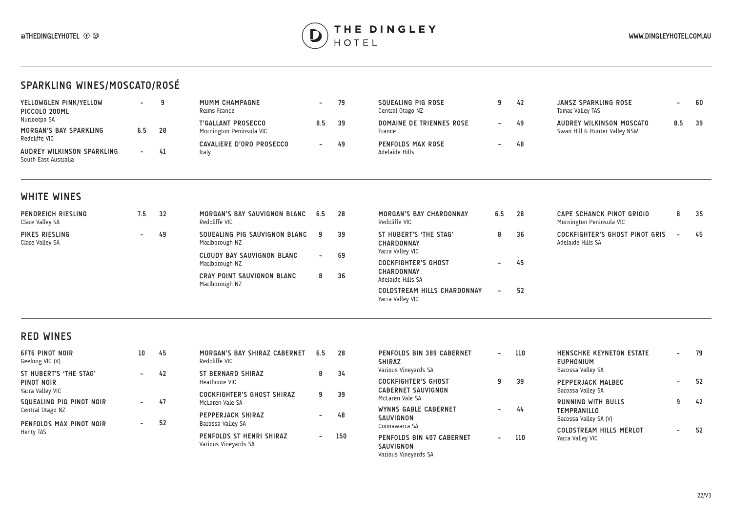

## **SPARKLING WINES/MOSCATO/ROSÉ**

| YELLOWGLEN PINK/YELLOW<br>PICCOLO 200ML            | $\overline{\phantom{0}}$ |      | MUMM CHAMPAGNE<br>Reims France | $\overline{\phantom{0}}$ | 79 | SOUEALING PIG ROSE<br>Central Otago NZ | 42 | JANSZ SPARKLING ROSE<br>Tamar Valley TAS |     | 60   |
|----------------------------------------------------|--------------------------|------|--------------------------------|--------------------------|----|----------------------------------------|----|------------------------------------------|-----|------|
| Nuriootpa SA                                       |                          |      | <b>T'GALLANT PROSECCO</b>      | 8.5                      | 39 | DOMAINE DE TRIENNES ROSE               | 49 | AUDREY WILKINSON MOSCATO                 | 8.5 | - 39 |
| MORGAN'S BAY SPARKLING                             | 6.5                      | - 28 | Mornington Peninsula VIC       |                          |    | France                                 |    | Swan Hill & Hunter Valley NSW            |     |      |
| Redcliffe VIC                                      |                          |      | CAVALIERE D'ORO PROSECCO       | $\overline{\phantom{0}}$ | 49 | <b>PENFOLDS MAX ROSE</b>               | 48 |                                          |     |      |
| AUDREY WILKINSON SPARKLING<br>South East Australia | $\sim$                   | 41   | ltaly                          |                          |    | Adelaide Hills                         |    |                                          |     |      |

## **WHITE WINES**

| PENDREICH RIESLING<br>Clare Valley SA | 7.5    | -32 | MORGAN'S BAY SAUVIGNON BLANC<br>Redcliffe VIC       | 6.5              | 28                                              | MORGAN'S BAY CHARDONNAY<br>Redcliffe VIC                        | 6.5               | 28 | CAPE SCHANCK PINOT GRIGIO<br>Mornington Peninsula VIC | 8      | -35 |
|---------------------------------------|--------|-----|-----------------------------------------------------|------------------|-------------------------------------------------|-----------------------------------------------------------------|-------------------|----|-------------------------------------------------------|--------|-----|
| PIKES RIESLING<br>Clare Valley SA     | $\sim$ | 49  | SQUEALING PIG SAUVIGNON BLANC<br>Marlborough NZ     |                  |                                                 | ST HUBERT'S 'THE STAG'<br><b>CHARDONNAY</b><br>Yarra Valley VIC | 8.                | 36 | COCKFIGHTER'S GHOST PINOT GRIS<br>Adelaide Hills SA   | $\sim$ | 45  |
|                                       |        |     | <b>CLOUDY BAY SAUVIGNON BLANC</b><br>Marlborough NZ | $\sim$           | 69                                              | <b>COCKFIGHTER'S GHOST</b>                                      | $\sim$ 100 $\sim$ | 45 |                                                       |        |     |
|                                       |        |     | CRAY POINT SAUVIGNON BLANC<br>Marlborough NZ        | 8                |                                                 | <b>CHARDONNAY</b><br>Adelaide Hills SA                          |                   |    |                                                       |        |     |
|                                       |        |     |                                                     | -39<br>- 9<br>36 | COLDSTREAM HILLS CHARDONNAY<br>Yarra Valley VIC | $\sim$                                                          | 52                |    |                                                       |        |     |

## **RED WINES**

| <b>6FT6 PINOT NOIR</b><br>Geelong VIC (V)    | 10                       | 45 | MORGAN'S BAY SHIRAZ CABERNET<br>Redcliffe VIC        | 6.5            | 28  |
|----------------------------------------------|--------------------------|----|------------------------------------------------------|----------------|-----|
| ST HUBERT'S 'THE STAG'<br>PINOT NOIR         | $\overline{\phantom{a}}$ | 42 | <b>ST BERNARD SHIRAZ</b><br>Heathcote VIC            | 8              | 34  |
| Yarra Valley VIC<br>SQUEALING PIG PINOT NOIR | $\overline{\phantom{a}}$ | 47 | <b>COCKFIGHTER'S GHOST SHIRAZ</b><br>McLaren Vale SA | 9              | 39  |
| Central Otago NZ<br>PENFOLDS MAX PINOT NOIR  | -                        | 52 | PEPPERJACK SHIRAZ<br>Barossa Valley SA               |                | 48  |
| Henty TAS                                    |                          |    | PENFOLDS ST HENRI SHIRAZ<br>Various Vineyards SA     | $\overline{a}$ | 150 |

| PENFOLDS BIN 389 CABERNET<br><b>SHIRAZ</b><br>Various Vineyards SA              | - | 110 | <b>HENSCHKE KEYNETON ESTATE</b><br><b>EUPHONIUM</b><br>Barossa Valley SA |   | 79 |
|---------------------------------------------------------------------------------|---|-----|--------------------------------------------------------------------------|---|----|
| <b>COCKFIGHTER'S GHOST</b><br><b>CABERNET SAUVIGNON</b>                         | 9 | 39  | PEPPERJACK MALBEC<br>Barossa Valley SA                                   | ٠ | 52 |
| McLaren Vale SA<br>WYNNS GABLE CABERNET<br>SAUVIGNON                            |   | 44  | <b>RUNNING WITH BULLS</b><br><b>TEMPRANILLO</b><br>Barossa Valley SA (V) | 9 | 42 |
| Coonawarra SA<br>PENFOLDS BIN 407 CABERNET<br>SAUVIGNON<br>Various Vineyards SA | - | 110 | <b>COLDSTREAM HILLS MERLOT</b><br>Yarra Valley VIC                       | - | 52 |